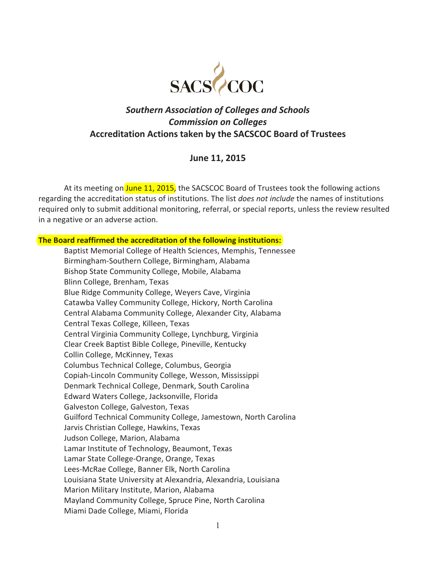

# *Southern Association of Colleges and Schools Commission on Colleges*  **Accreditation Actions taken by the SACSCOC Board of Trustees**

## **June 11, 2015**

At its meeting on June 11, 2015, the SACSCOC Board of Trustees took the following actions regarding the accreditation status of institutions. The list *does not include* the names of institutions required only to submit additional monitoring, referral, or special reports, unless the review resulted in a negative or an adverse action.

**The Board reaffirmed the accreditation of the following institutions:** 

Baptist Memorial College of Health Sciences, Memphis, Tennessee Birmingham-Southern College, Birmingham, Alabama Bishop State Community College, Mobile, Alabama Blinn College, Brenham, Texas Blue Ridge Community College, Weyers Cave, Virginia Catawba Valley Community College, Hickory, North Carolina Central Alabama Community College, Alexander City, Alabama Central Texas College, Killeen, Texas Central Virginia Community College, Lynchburg, Virginia Clear Creek Baptist Bible College, Pineville, Kentucky Collin College, McKinney, Texas Columbus Technical College, Columbus, Georgia Copiah-Lincoln Community College, Wesson, Mississippi Denmark Technical College, Denmark, South Carolina Edward Waters College, Jacksonville, Florida Galveston College, Galveston, Texas Guilford Technical Community College, Jamestown, North Carolina Jarvis Christian College, Hawkins, Texas Judson College, Marion, Alabama Lamar Institute of Technology, Beaumont, Texas Lamar State College-Orange, Orange, Texas Lees-McRae College, Banner Elk, North Carolina Louisiana State University at Alexandria, Alexandria, Louisiana Marion Military Institute, Marion, Alabama Mayland Community College, Spruce Pine, North Carolina Miami Dade College, Miami, Florida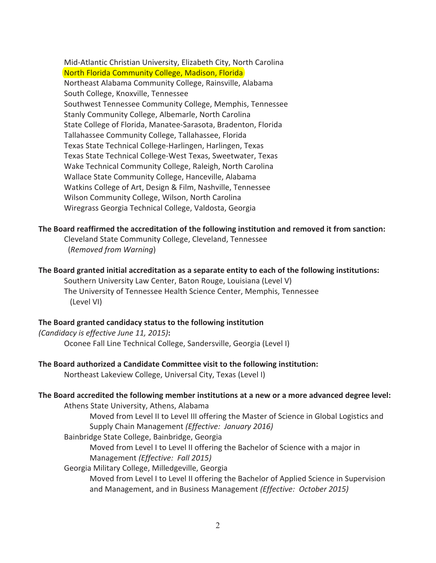Mid-Atlantic Christian University, Elizabeth City, North Carolina North Florida Community College, Madison, Florida Northeast Alabama Community College, Rainsville, Alabama South College, Knoxville, Tennessee Southwest Tennessee Community College, Memphis, Tennessee Stanly Community College, Albemarle, North Carolina State College of Florida, Manatee-Sarasota, Bradenton, Florida Tallahassee Community College, Tallahassee, Florida Texas State Technical College-Harlingen, Harlingen, Texas Texas State Technical College-West Texas, Sweetwater, Texas Wake Technical Community College, Raleigh, North Carolina Wallace State Community College, Hanceville, Alabama Watkins College of Art, Design & Film, Nashville, Tennessee Wilson Community College, Wilson, North Carolina Wiregrass Georgia Technical College, Valdosta, Georgia

**The Board reaffirmed the accreditation of the following institution and removed it from sanction:**

Cleveland State Community College, Cleveland, Tennessee (*Removed from Warning*)

**The Board granted initial accreditation as a separate entity to each of the following institutions:** 

 Southern University Law Center, Baton Rouge, Louisiana (Level V) The University of Tennessee Health Science Center, Memphis, Tennessee (Level VI)

#### **The Board granted candidacy status to the following institution**

*(Candidacy is effective June 11, 2015)***:**  Oconee Fall Line Technical College, Sandersville, Georgia (Level I)

#### **The Board authorized a Candidate Committee visit to the following institution:**

Northeast Lakeview College, Universal City, Texas (Level I)

# **The Board accredited the following member institutions at a new or a more advanced degree level:**

Athens State University, Athens, Alabama

Moved from Level II to Level III offering the Master of Science in Global Logistics and Supply Chain Management *(Effective: January 2016)*

Bainbridge State College, Bainbridge, Georgia

Moved from Level I to Level II offering the Bachelor of Science with a major in Management *(Effective: Fall 2015)*

Georgia Military College, Milledgeville, Georgia

Moved from Level I to Level II offering the Bachelor of Applied Science in Supervision and Management, and in Business Management *(Effective: October 2015)*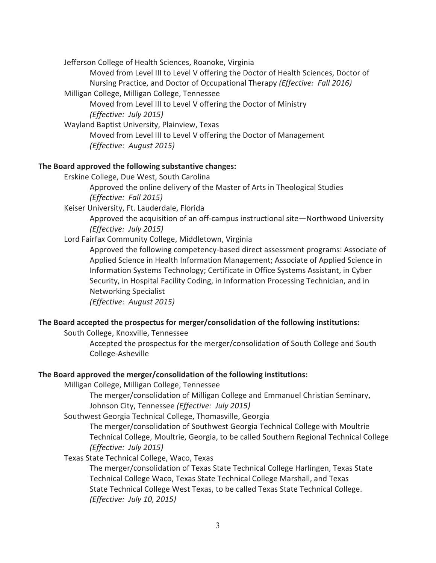Jefferson College of Health Sciences, Roanoke, Virginia

Moved from Level III to Level V offering the Doctor of Health Sciences, Doctor of Nursing Practice, and Doctor of Occupational Therapy *(Effective: Fall 2016)*

Milligan College, Milligan College, Tennessee

 Moved from Level III to Level V offering the Doctor of Ministry *(Effective: July 2015)*

Wayland Baptist University, Plainview, Texas

 Moved from Level III to Level V offering the Doctor of Management *(Effective: August 2015)*

#### **The Board approved the following substantive changes:**

Erskine College, Due West, South Carolina

Approved the online delivery of the Master of Arts in Theological Studies *(Effective: Fall 2015)*

Keiser University, Ft. Lauderdale, Florida

Approved the acquisition of an off-campus instructional site—Northwood University *(Effective: July 2015)*

## Lord Fairfax Community College, Middletown, Virginia

Approved the following competency-based direct assessment programs: Associate of Applied Science in Health Information Management; Associate of Applied Science in Information Systems Technology; Certificate in Office Systems Assistant, in Cyber Security, in Hospital Facility Coding, in Information Processing Technician, and in Networking Specialist

*(Effective: August 2015)*

## **The Board accepted the prospectus for merger/consolidation of the following institutions:**

South College, Knoxville, Tennessee

Accepted the prospectus for the merger/consolidation of South College and South College-Asheville

#### **The Board approved the merger/consolidation of the following institutions:**

Milligan College, Milligan College, Tennessee

The merger/consolidation of Milligan College and Emmanuel Christian Seminary, Johnson City, Tennessee *(Effective: July 2015)*

Southwest Georgia Technical College, Thomasville, Georgia

The merger/consolidation of Southwest Georgia Technical College with Moultrie Technical College, Moultrie, Georgia, to be called Southern Regional Technical College *(Effective: July 2015)*

#### Texas State Technical College, Waco, Texas

The merger/consolidation of Texas State Technical College Harlingen, Texas State Technical College Waco, Texas State Technical College Marshall, and Texas State Technical College West Texas, to be called Texas State Technical College. *(Effective: July 10, 2015)*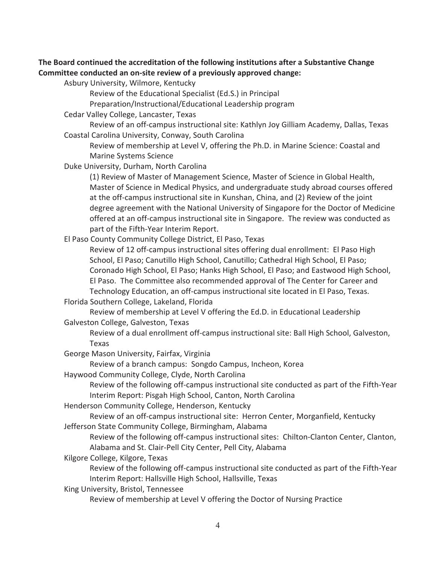## **The Board continued the accreditation of the following institutions after a Substantive Change Committee conducted an on-site review of a previously approved change:**

Asbury University, Wilmore, Kentucky

Review of the Educational Specialist (Ed.S.) in Principal

Preparation/Instructional/Educational Leadership program

Cedar Valley College, Lancaster, Texas

Review of an off-campus instructional site: Kathlyn Joy Gilliam Academy, Dallas, Texas Coastal Carolina University, Conway, South Carolina

Review of membership at Level V, offering the Ph.D. in Marine Science: Coastal and Marine Systems Science

Duke University, Durham, North Carolina

 (1) Review of Master of Management Science, Master of Science in Global Health, Master of Science in Medical Physics, and undergraduate study abroad courses offered at the off-campus instructional site in Kunshan, China, and (2) Review of the joint degree agreement with the National University of Singapore for the Doctor of Medicine offered at an off-campus instructional site in Singapore. The review was conducted as part of the Fifth-Year Interim Report.

El Paso County Community College District, El Paso, Texas

 Review of 12 off-campus instructional sites offering dual enrollment: El Paso High School, El Paso; Canutillo High School, Canutillo; Cathedral High School, El Paso; Coronado High School, El Paso; Hanks High School, El Paso; and Eastwood High School, El Paso. The Committee also recommended approval of The Center for Career and Technology Education, an off-campus instructional site located in El Paso, Texas.

## Florida Southern College, Lakeland, Florida

 Review of membership at Level V offering the Ed.D. in Educational Leadership Galveston College, Galveston, Texas

Review of a dual enrollment off-campus instructional site: Ball High School, Galveston, Texas

George Mason University, Fairfax, Virginia

Review of a branch campus: Songdo Campus, Incheon, Korea

Haywood Community College, Clyde, North Carolina

Review of the following off-campus instructional site conducted as part of the Fifth-Year Interim Report: Pisgah High School, Canton, North Carolina

Henderson Community College, Henderson, Kentucky

Review of an off-campus instructional site: Herron Center, Morganfield, Kentucky Jefferson State Community College, Birmingham, Alabama

Review of the following off-campus instructional sites: Chilton-Clanton Center, Clanton, Alabama and St. Clair-Pell City Center, Pell City, Alabama

Kilgore College, Kilgore, Texas

Review of the following off-campus instructional site conducted as part of the Fifth-Year Interim Report: Hallsville High School, Hallsville, Texas

King University, Bristol, Tennessee

Review of membership at Level V offering the Doctor of Nursing Practice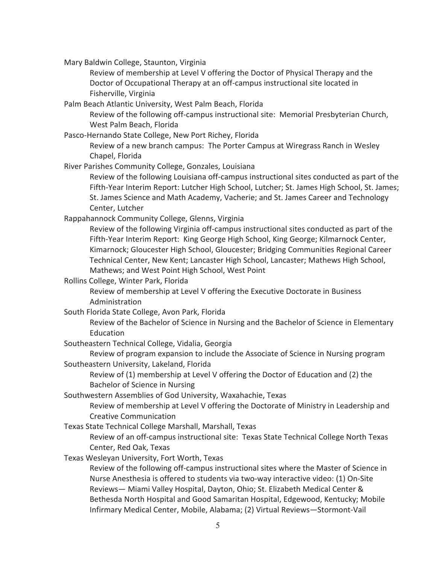Mary Baldwin College, Staunton, Virginia

 Review of membership at Level V offering the Doctor of Physical Therapy and the Doctor of Occupational Therapy at an off-campus instructional site located in Fisherville, Virginia

Palm Beach Atlantic University, West Palm Beach, Florida

Review of the following off-campus instructional site: Memorial Presbyterian Church, West Palm Beach, Florida

Pasco-Hernando State College, New Port Richey, Florida

 Review of a new branch campus: The Porter Campus at Wiregrass Ranch in Wesley Chapel, Florida

River Parishes Community College, Gonzales, Louisiana

Review of the following Louisiana off-campus instructional sites conducted as part of the Fifth-Year Interim Report: Lutcher High School, Lutcher; St. James High School, St. James; St. James Science and Math Academy, Vacherie; and St. James Career and Technology Center, Lutcher

Rappahannock Community College, Glenns, Virginia

Review of the following Virginia off-campus instructional sites conducted as part of the Fifth-Year Interim Report: King George High School, King George; Kilmarnock Center, Kimarnock; Gloucester High School, Gloucester; Bridging Communities Regional Career Technical Center, New Kent; Lancaster High School, Lancaster; Mathews High School, Mathews; and West Point High School, West Point

Rollins College, Winter Park, Florida

 Review of membership at Level V offering the Executive Doctorate in Business Administration

South Florida State College, Avon Park, Florida

 Review of the Bachelor of Science in Nursing and the Bachelor of Science in Elementary Education

Southeastern Technical College, Vidalia, Georgia

 Review of program expansion to include the Associate of Science in Nursing program Southeastern University, Lakeland, Florida

Review of (1) membership at Level V offering the Doctor of Education and (2) the Bachelor of Science in Nursing

Southwestern Assemblies of God University, Waxahachie, Texas

Review of membership at Level V offering the Doctorate of Ministry in Leadership and Creative Communication

Texas State Technical College Marshall, Marshall, Texas

 Review of an off-campus instructional site: Texas State Technical College North Texas Center, Red Oak, Texas

Texas Wesleyan University, Fort Worth, Texas

 Review of the following off-campus instructional sites where the Master of Science in Nurse Anesthesia is offered to students via two-way interactive video: (1) On-Site Reviews— Miami Valley Hospital, Dayton, Ohio; St. Elizabeth Medical Center & Bethesda North Hospital and Good Samaritan Hospital, Edgewood, Kentucky; Mobile Infirmary Medical Center, Mobile, Alabama; (2) Virtual Reviews—Stormont-Vail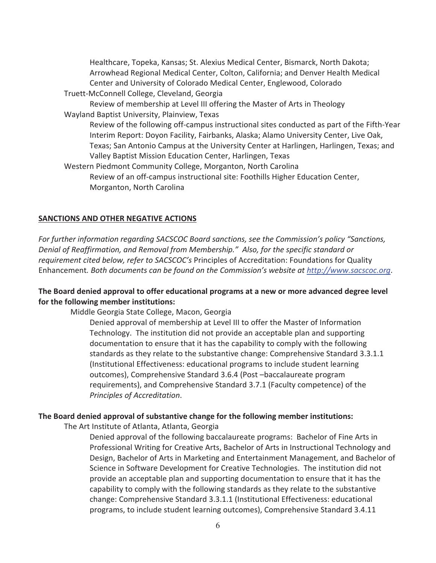Healthcare, Topeka, Kansas; St. Alexius Medical Center, Bismarck, North Dakota; Arrowhead Regional Medical Center, Colton, California; and Denver Health Medical Center and University of Colorado Medical Center, Englewood, Colorado Truett-McConnell College, Cleveland, Georgia Review of membership at Level III offering the Master of Arts in Theology Wayland Baptist University, Plainview, Texas Review of the following off-campus instructional sites conducted as part of the Fifth-Year Interim Report: Doyon Facility, Fairbanks, Alaska; Alamo University Center, Live Oak, Texas; San Antonio Campus at the University Center at Harlingen, Harlingen, Texas; and Valley Baptist Mission Education Center, Harlingen, Texas Western Piedmont Community College, Morganton, North Carolina Review of an off-campus instructional site: Foothills Higher Education Center, Morganton, North Carolina

#### **SANCTIONS AND OTHER NEGATIVE ACTIONS**

*For further information regarding SACSCOC Board sanctions, see the Commission's policy "Sanctions, Denial of Reaffirmation, and Removal from Membership." Also, for the specific standard or requirement cited below, refer to SACSCOC's* Principles of Accreditation: Foundations for Quality Enhancement*. Both documents can be found on the Commission's website at http://www.sacscoc.org*.

## **The Board denied approval to offer educational programs at a new or more advanced degree level for the following member institutions:**

Middle Georgia State College, Macon, Georgia

Denied approval of membership at Level III to offer the Master of Information Technology. The institution did not provide an acceptable plan and supporting documentation to ensure that it has the capability to comply with the following standards as they relate to the substantive change: Comprehensive Standard 3.3.1.1 (Institutional Effectiveness: educational programs to include student learning outcomes), Comprehensive Standard 3.6.4 (Post –baccalaureate program requirements), and Comprehensive Standard 3.7.1 (Faculty competence) of the *Principles of Accreditation*.

#### **The Board denied approval of substantive change for the following member institutions:**

The Art Institute of Atlanta, Atlanta, Georgia

Denied approval of the following baccalaureate programs: Bachelor of Fine Arts in Professional Writing for Creative Arts, Bachelor of Arts in Instructional Technology and Design, Bachelor of Arts in Marketing and Entertainment Management, and Bachelor of Science in Software Development for Creative Technologies. The institution did not provide an acceptable plan and supporting documentation to ensure that it has the capability to comply with the following standards as they relate to the substantive change: Comprehensive Standard 3.3.1.1 (Institutional Effectiveness: educational programs, to include student learning outcomes), Comprehensive Standard 3.4.11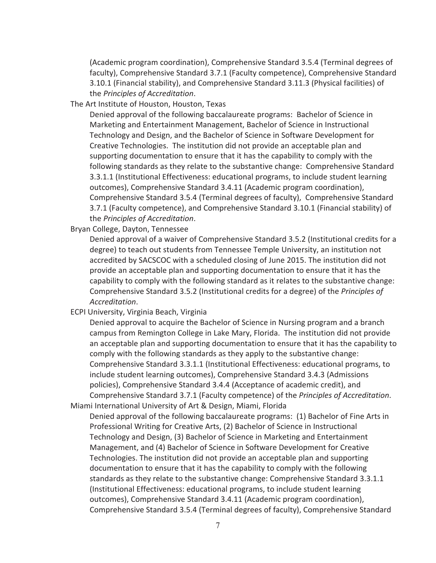(Academic program coordination), Comprehensive Standard 3.5.4 (Terminal degrees of faculty), Comprehensive Standard 3.7.1 (Faculty competence), Comprehensive Standard 3.10.1 (Financial stability), and Comprehensive Standard 3.11.3 (Physical facilities) of the *Principles of Accreditation*.

The Art Institute of Houston, Houston, Texas

Denied approval of the following baccalaureate programs: Bachelor of Science in Marketing and Entertainment Management, Bachelor of Science in Instructional Technology and Design, and the Bachelor of Science in Software Development for Creative Technologies. The institution did not provide an acceptable plan and supporting documentation to ensure that it has the capability to comply with the following standards as they relate to the substantive change: Comprehensive Standard 3.3.1.1 (Institutional Effectiveness: educational programs, to include student learning outcomes), Comprehensive Standard 3.4.11 (Academic program coordination), Comprehensive Standard 3.5.4 (Terminal degrees of faculty), Comprehensive Standard 3.7.1 (Faculty competence), and Comprehensive Standard 3.10.1 (Financial stability) of the *Principles of Accreditation*.

Bryan College, Dayton, Tennessee

Denied approval of a waiver of Comprehensive Standard 3.5.2 (Institutional credits for a degree) to teach out students from Tennessee Temple University, an institution not accredited by SACSCOC with a scheduled closing of June 2015. The institution did not provide an acceptable plan and supporting documentation to ensure that it has the capability to comply with the following standard as it relates to the substantive change: Comprehensive Standard 3.5.2 (Institutional credits for a degree) of the *Principles of Accreditation*.

ECPI University, Virginia Beach, Virginia

Denied approval to acquire the Bachelor of Science in Nursing program and a branch campus from Remington College in Lake Mary, Florida. The institution did not provide an acceptable plan and supporting documentation to ensure that it has the capability to comply with the following standards as they apply to the substantive change: Comprehensive Standard 3.3.1.1 (Institutional Effectiveness: educational programs, to include student learning outcomes), Comprehensive Standard 3.4.3 (Admissions policies), Comprehensive Standard 3.4.4 (Acceptance of academic credit), and Comprehensive Standard 3.7.1 (Faculty competence) of the *Principles of Accreditation*. Miami International University of Art & Design, Miami, Florida

 Denied approval of the following baccalaureate programs: (1) Bachelor of Fine Arts in Professional Writing for Creative Arts, (2) Bachelor of Science in Instructional Technology and Design, (3) Bachelor of Science in Marketing and Entertainment Management, and (4) Bachelor of Science in Software Development for Creative Technologies. The institution did not provide an acceptable plan and supporting documentation to ensure that it has the capability to comply with the following standards as they relate to the substantive change: Comprehensive Standard 3.3.1.1 (Institutional Effectiveness: educational programs, to include student learning outcomes), Comprehensive Standard 3.4.11 (Academic program coordination), Comprehensive Standard 3.5.4 (Terminal degrees of faculty), Comprehensive Standard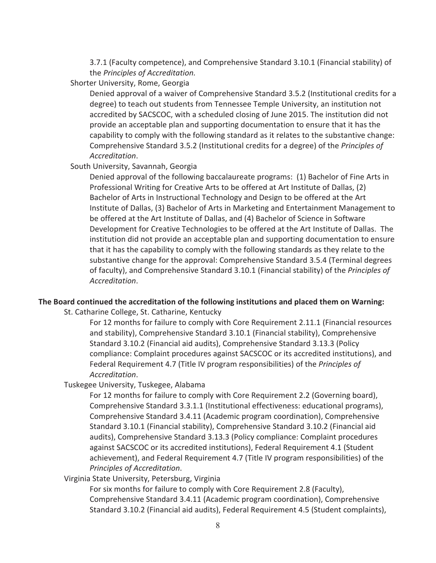3.7.1 (Faculty competence), and Comprehensive Standard 3.10.1 (Financial stability) of the *Principles of Accreditation.*

Shorter University, Rome, Georgia

 Denied approval of a waiver of Comprehensive Standard 3.5.2 (Institutional credits for a degree) to teach out students from Tennessee Temple University, an institution not accredited by SACSCOC, with a scheduled closing of June 2015. The institution did not provide an acceptable plan and supporting documentation to ensure that it has the capability to comply with the following standard as it relates to the substantive change: Comprehensive Standard 3.5.2 (Institutional credits for a degree) of the *Principles of Accreditation*.

South University, Savannah, Georgia

Denied approval of the following baccalaureate programs: (1) Bachelor of Fine Arts in Professional Writing for Creative Arts to be offered at Art Institute of Dallas, (2) Bachelor of Arts in Instructional Technology and Design to be offered at the Art Institute of Dallas, (3) Bachelor of Arts in Marketing and Entertainment Management to be offered at the Art Institute of Dallas, and (4) Bachelor of Science in Software Development for Creative Technologies to be offered at the Art Institute of Dallas. The institution did not provide an acceptable plan and supporting documentation to ensure that it has the capability to comply with the following standards as they relate to the substantive change for the approval: Comprehensive Standard 3.5.4 (Terminal degrees of faculty), and Comprehensive Standard 3.10.1 (Financial stability) of the *Principles of Accreditation*.

## **The Board continued the accreditation of the following institutions and placed them on Warning:**

St. Catharine College, St. Catharine, Kentucky

For 12 months for failure to comply with Core Requirement 2.11.1 (Financial resources and stability), Comprehensive Standard 3.10.1 (Financial stability), Comprehensive Standard 3.10.2 (Financial aid audits), Comprehensive Standard 3.13.3 (Policy compliance: Complaint procedures against SACSCOC or its accredited institutions), and Federal Requirement 4.7 (Title IV program responsibilities) of the *Principles of Accreditation*.

Tuskegee University, Tuskegee, Alabama

For 12 months for failure to comply with Core Requirement 2.2 (Governing board), Comprehensive Standard 3.3.1.1 (Institutional effectiveness: educational programs), Comprehensive Standard 3.4.11 (Academic program coordination), Comprehensive Standard 3.10.1 (Financial stability), Comprehensive Standard 3.10.2 (Financial aid audits), Comprehensive Standard 3.13.3 (Policy compliance: Complaint procedures against SACSCOC or its accredited institutions), Federal Requirement 4.1 (Student achievement), and Federal Requirement 4.7 (Title IV program responsibilities) of the *Principles of Accreditation*.

Virginia State University, Petersburg, Virginia

For six months for failure to comply with Core Requirement 2.8 (Faculty), Comprehensive Standard 3.4.11 (Academic program coordination), Comprehensive Standard 3.10.2 (Financial aid audits), Federal Requirement 4.5 (Student complaints),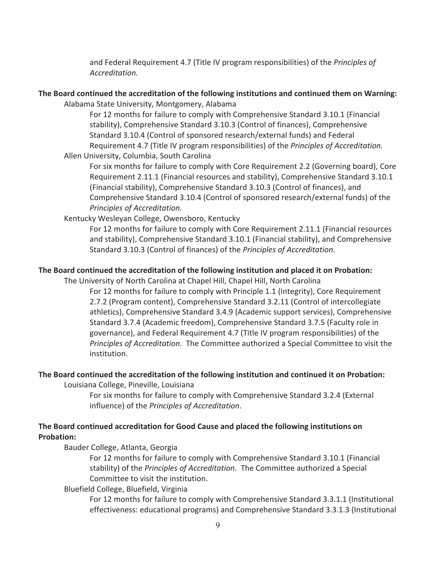and Federal Requirement 4.7 (Title IV program responsibilities) of the *Principles of Accreditation.* 

## **The Board continued the accreditation of the following institutions and continued them on Warning:**

Alabama State University, Montgomery, Alabama

For 12 months for failure to comply with Comprehensive Standard 3.10.1 (Financial stability), Comprehensive Standard 3.10.3 (Control of finances), Comprehensive Standard 3.10.4 (Control of sponsored research/external funds) and Federal Requirement 4.7 (Title IV program responsibilities) of the *Principles of Accreditation.* 

Allen University, Columbia, South Carolina

For six months for failure to comply with Core Requirement 2.2 (Governing board), Core Requirement 2.11.1 (Financial resources and stability), Comprehensive Standard 3.10.1 (Financial stability), Comprehensive Standard 3.10.3 (Control of finances), and Comprehensive Standard 3.10.4 (Control of sponsored research/external funds) of the *Principles of Accreditation.* 

Kentucky Wesleyan College, Owensboro, Kentucky

For 12 months for failure to comply with Core Requirement 2.11.1 (Financial resources and stability), Comprehensive Standard 3.10.1 (Financial stability), and Comprehensive Standard 3.10.3 (Control of finances) of the *Principles of Accreditation*.

## **The Board continued the accreditation of the following institution and placed it on Probation:**

The University of North Carolina at Chapel Hill, Chapel Hill, North Carolina

For 12 months for failure to comply with Principle 1.1 (Integrity), Core Requirement 2.7.2 (Program content), Comprehensive Standard 3.2.11 (Control of intercollegiate athletics), Comprehensive Standard 3.4.9 (Academic support services), Comprehensive Standard 3.7.4 (Academic freedom), Comprehensive Standard 3.7.5 (Faculty role in governance), and Federal Requirement 4.7 (Title IV program responsibilities) of the *Principles of Accreditation*. The Committee authorized a Special Committee to visit the institution.

## **The Board continued the accreditation of the following institution and continued it on Probation:**

Louisiana College, Pineville, Louisiana

For six months for failure to comply with Comprehensive Standard 3.2.4 (External influence) of the *Principles of Accreditation*.

## **The Board continued accreditation for Good Cause and placed the following institutions on Probation:**

## Bauder College, Atlanta, Georgia

For 12 months for failure to comply with Comprehensive Standard 3.10.1 (Financial stability) of the *Principles of Accreditation*. The Committee authorized a Special Committee to visit the institution.

## Bluefield College, Bluefield, Virginia

For 12 months for failure to comply with Comprehensive Standard 3.3.1.1 (Institutional effectiveness: educational programs) and Comprehensive Standard 3.3.1.3 (Institutional